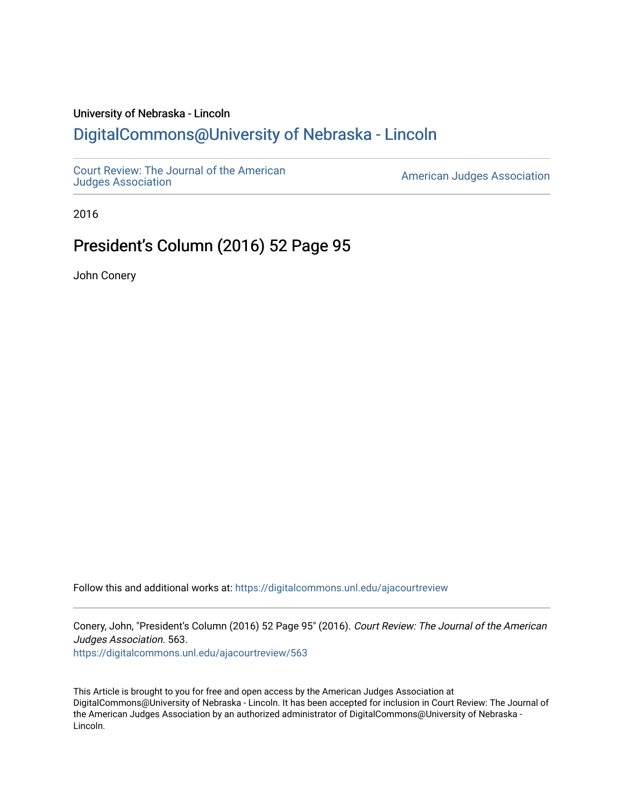## University of Nebraska - Lincoln [DigitalCommons@University of Nebraska - Lincoln](https://digitalcommons.unl.edu/)

[Court Review: The Journal of the American](https://digitalcommons.unl.edu/ajacourtreview)

[Judges Association](https://digitalcommons.unl.edu/ajacourtreview) [American Judges Association](https://digitalcommons.unl.edu/amjudgesassn) 

2016

## President's Column (2016) 52 Page 95

John Conery

Follow this and additional works at: [https://digitalcommons.unl.edu/ajacourtreview](https://digitalcommons.unl.edu/ajacourtreview?utm_source=digitalcommons.unl.edu%2Fajacourtreview%2F563&utm_medium=PDF&utm_campaign=PDFCoverPages) 

Conery, John, "President's Column (2016) 52 Page 95" (2016). Court Review: The Journal of the American Judges Association. 563.

[https://digitalcommons.unl.edu/ajacourtreview/563](https://digitalcommons.unl.edu/ajacourtreview/563?utm_source=digitalcommons.unl.edu%2Fajacourtreview%2F563&utm_medium=PDF&utm_campaign=PDFCoverPages) 

This Article is brought to you for free and open access by the American Judges Association at DigitalCommons@University of Nebraska - Lincoln. It has been accepted for inclusion in Court Review: The Journal of the American Judges Association by an authorized administrator of DigitalCommons@University of Nebraska -Lincoln.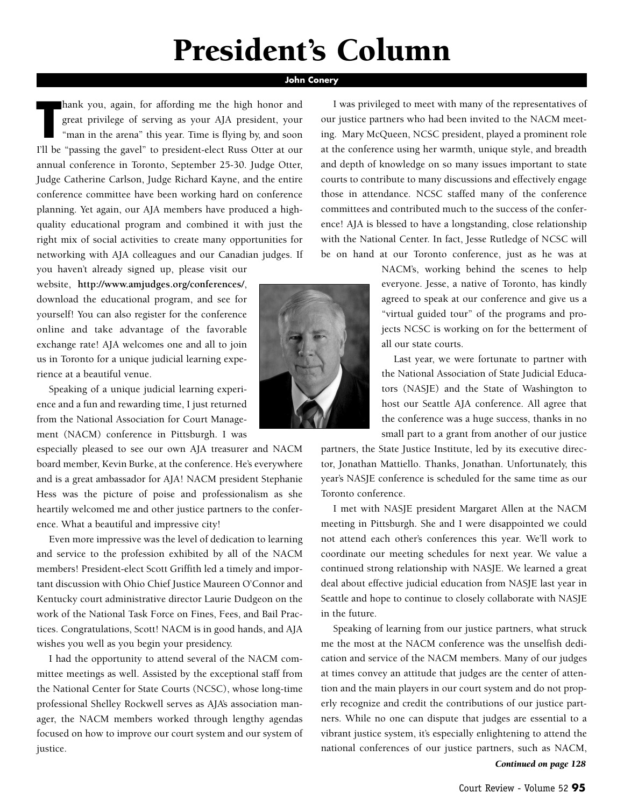# **President's Column**

### **John Conery**

**Thank** you, again, for affording me the high honor and great privilege of serving as your AJA president, your "man in the arena" this year. Time is flying by, and soon I'll be "passing the gavel" to president-elect Russ O hank you, again, for affording me the high honor and great privilege of serving as your AJA president, your "man in the arena" this year. Time is flying by, and soon annual conference in Toronto, September 25-30. Judge Otter, Judge Catherine Carlson, Judge Richard Kayne, and the entire conference committee have been working hard on conference planning. Yet again, our AJA members have produced a highquality educational program and combined it with just the right mix of social activities to create many opportunities for networking with AJA colleagues and our Canadian judges. If

you haven't already signed up, please visit our website, **http://www.amjudges.org/conferences/**, download the educational program, and see for yourself! You can also register for the conference online and take advantage of the favorable exchange rate! AJA welcomes one and all to join us in Toronto for a unique judicial learning experience at a beautiful venue.

Speaking of a unique judicial learning experience and a fun and rewarding time, I just returned from the National Association for Court Management (NACM) conference in Pittsburgh. I was

especially pleased to see our own AJA treasurer and NACM board member, Kevin Burke, at the conference. He's everywhere and is a great ambassador for AJA! NACM president Stephanie Hess was the picture of poise and professionalism as she heartily welcomed me and other justice partners to the conference. What a beautiful and impressive city!

Even more impressive was the level of dedication to learning and service to the profession exhibited by all of the NACM members! President-elect Scott Griffith led a timely and important discussion with Ohio Chief Justice Maureen O'Connor and Kentucky court administrative director Laurie Dudgeon on the work of the National Task Force on Fines, Fees, and Bail Practices. Congratulations, Scott! NACM is in good hands, and AJA wishes you well as you begin your presidency.

I had the opportunity to attend several of the NACM committee meetings as well. Assisted by the exceptional staff from the National Center for State Courts (NCSC), whose long-time professional Shelley Rockwell serves as AJA's association manager, the NACM members worked through lengthy agendas focused on how to improve our court system and our system of justice.

I was privileged to meet with many of the representatives of our justice partners who had been invited to the NACM meeting. Mary McQueen, NCSC president, played a prominent role at the conference using her warmth, unique style, and breadth and depth of knowledge on so many issues important to state courts to contribute to many discussions and effectively engage those in attendance. NCSC staffed many of the conference committees and contributed much to the success of the conference! AJA is blessed to have a longstanding, close relationship with the National Center. In fact, Jesse Rutledge of NCSC will be on hand at our Toronto conference, just as he was at

> NACM's, working behind the scenes to help everyone. Jesse, a native of Toronto, has kindly agreed to speak at our conference and give us a "virtual guided tour" of the programs and projects NCSC is working on for the betterment of all our state courts.

> Last year, we were fortunate to partner with the National Association of State Judicial Educators (NASJE) and the State of Washington to host our Seattle AJA conference. All agree that the conference was a huge success, thanks in no small part to a grant from another of our justice

partners, the State Justice Institute, led by its executive director, Jonathan Mattiello. Thanks, Jonathan. Unfortunately, this year's NASJE conference is scheduled for the same time as our Toronto conference.

I met with NASJE president Margaret Allen at the NACM meeting in Pittsburgh. She and I were disappointed we could not attend each other's conferences this year. We'll work to coordinate our meeting schedules for next year. We value a continued strong relationship with NASJE. We learned a great deal about effective judicial education from NASJE last year in Seattle and hope to continue to closely collaborate with NASJE in the future.

Speaking of learning from our justice partners, what struck me the most at the NACM conference was the unselfish dedication and service of the NACM members. Many of our judges at times convey an attitude that judges are the center of attention and the main players in our court system and do not properly recognize and credit the contributions of our justice partners. While no one can dispute that judges are essential to a vibrant justice system, it's especially enlightening to attend the national conferences of our justice partners, such as NACM,

*Continued on page 128*